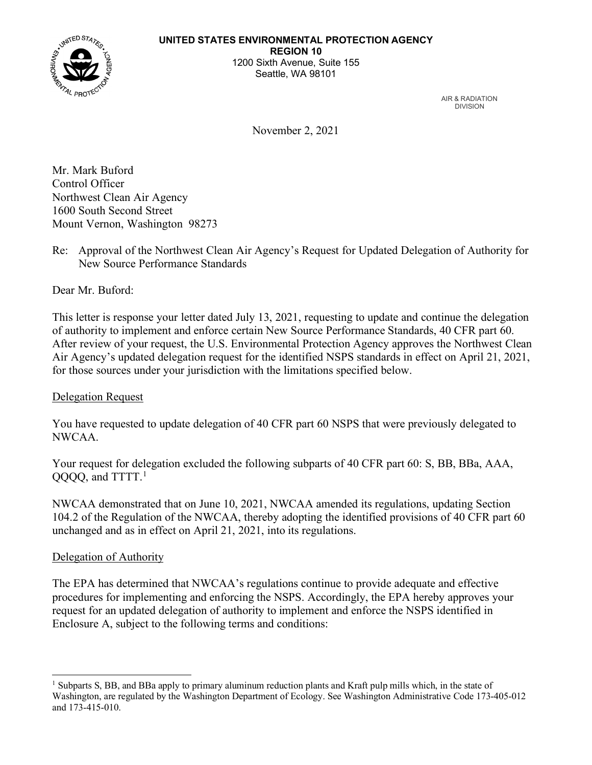

AIR & RADIATION DIVISION

November 2, 2021

Mr. Mark Buford Control Officer Northwest Clean Air Agency 1600 South Second Street Mount Vernon, Washington 98273

Re: Approval of the Northwest Clean Air Agency's Request for Updated Delegation of Authority for New Source Performance Standards

Dear Mr. Buford:

This letter is response your letter dated July 13, 2021, requesting to update and continue the delegation of authority to implement and enforce certain New Source Performance Standards, 40 CFR part 60. After review of your request, the U.S. Environmental Protection Agency approves the Northwest Clean Air Agency's updated delegation request for the identified NSPS standards in effect on April 21, 2021, for those sources under your jurisdiction with the limitations specified below.

## Delegation Request

You have requested to update delegation of 40 CFR part 60 NSPS that were previously delegated to NWCAA.

Your request for delegation excluded the following subparts of 40 CFR part 60: S, BB, BBa, AAA,  $QQQQ$ , and  $TTTT.^1$  $TTTT.^1$ 

NWCAA demonstrated that on June 10, 2021, NWCAA amended its regulations, updating Section 104.2 of the Regulation of the NWCAA, thereby adopting the identified provisions of 40 CFR part 60 unchanged and as in effect on April 21, 2021, into its regulations.

## Delegation of Authority

The EPA has determined that NWCAA's regulations continue to provide adequate and effective procedures for implementing and enforcing the NSPS. Accordingly, the EPA hereby approves your request for an updated delegation of authority to implement and enforce the NSPS identified in Enclosure A, subject to the following terms and conditions:

<span id="page-0-0"></span><sup>&</sup>lt;sup>1</sup> Subparts S, BB, and BBa apply to primary aluminum reduction plants and Kraft pulp mills which, in the state of Washington, are regulated by the Washington Department of Ecology. See Washington Administrative Code 173-405-012 and 173-415-010.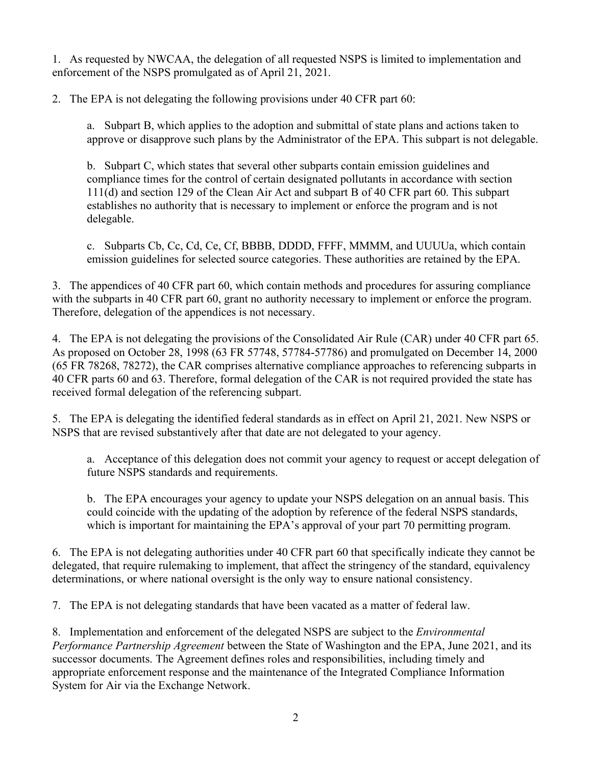1. As requested by NWCAA, the delegation of all requested NSPS is limited to implementation and enforcement of the NSPS promulgated as of April 21, 2021.

2. The EPA is not delegating the following provisions under 40 CFR part 60:

a. Subpart B, which applies to the adoption and submittal of state plans and actions taken to approve or disapprove such plans by the Administrator of the EPA. This subpart is not delegable.

b. Subpart C, which states that several other subparts contain emission guidelines and compliance times for the control of certain designated pollutants in accordance with section 111(d) and section 129 of the Clean Air Act and subpart B of 40 CFR part 60. This subpart establishes no authority that is necessary to implement or enforce the program and is not delegable.

c. Subparts Cb, Cc, Cd, Ce, Cf, BBBB, DDDD, FFFF, MMMM, and UUUUa, which contain emission guidelines for selected source categories. These authorities are retained by the EPA.

3. The appendices of 40 CFR part 60, which contain methods and procedures for assuring compliance with the subparts in 40 CFR part 60, grant no authority necessary to implement or enforce the program. Therefore, delegation of the appendices is not necessary.

4. The EPA is not delegating the provisions of the Consolidated Air Rule (CAR) under 40 CFR part 65. As proposed on October 28, 1998 (63 FR 57748, 57784-57786) and promulgated on December 14, 2000 (65 FR 78268, 78272), the CAR comprises alternative compliance approaches to referencing subparts in 40 CFR parts 60 and 63. Therefore, formal delegation of the CAR is not required provided the state has received formal delegation of the referencing subpart.

5. The EPA is delegating the identified federal standards as in effect on April 21, 2021. New NSPS or NSPS that are revised substantively after that date are not delegated to your agency.

a. Acceptance of this delegation does not commit your agency to request or accept delegation of future NSPS standards and requirements.

b. The EPA encourages your agency to update your NSPS delegation on an annual basis. This could coincide with the updating of the adoption by reference of the federal NSPS standards, which is important for maintaining the EPA's approval of your part 70 permitting program.

6. The EPA is not delegating authorities under 40 CFR part 60 that specifically indicate they cannot be delegated, that require rulemaking to implement, that affect the stringency of the standard, equivalency determinations, or where national oversight is the only way to ensure national consistency.

7. The EPA is not delegating standards that have been vacated as a matter of federal law.

8. Implementation and enforcement of the delegated NSPS are subject to the *Environmental Performance Partnership Agreement* between the State of Washington and the EPA, June 2021, and its successor documents. The Agreement defines roles and responsibilities, including timely and appropriate enforcement response and the maintenance of the Integrated Compliance Information System for Air via the Exchange Network.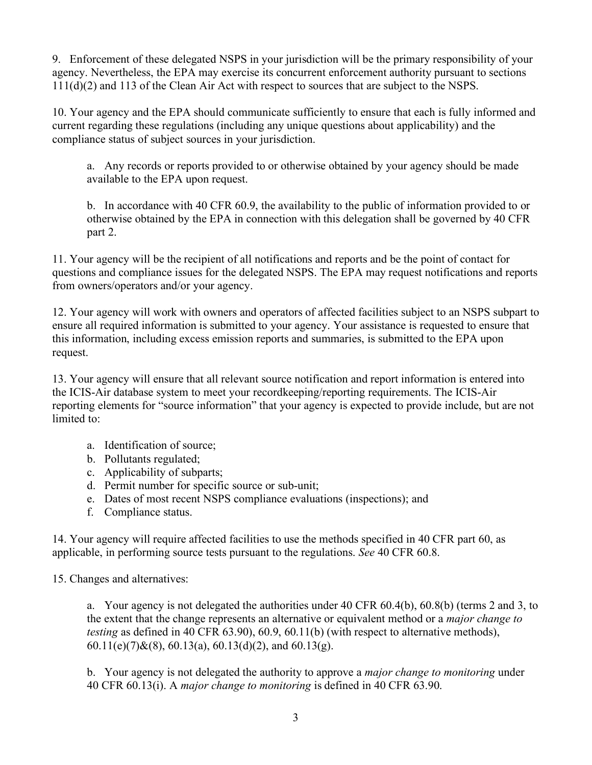9. Enforcement of these delegated NSPS in your jurisdiction will be the primary responsibility of your agency. Nevertheless, the EPA may exercise its concurrent enforcement authority pursuant to sections 111(d)(2) and 113 of the Clean Air Act with respect to sources that are subject to the NSPS.

10. Your agency and the EPA should communicate sufficiently to ensure that each is fully informed and current regarding these regulations (including any unique questions about applicability) and the compliance status of subject sources in your jurisdiction.

a. Any records or reports provided to or otherwise obtained by your agency should be made available to the EPA upon request.

b. In accordance with 40 CFR 60.9, the availability to the public of information provided to or otherwise obtained by the EPA in connection with this delegation shall be governed by 40 CFR part 2.

11. Your agency will be the recipient of all notifications and reports and be the point of contact for questions and compliance issues for the delegated NSPS. The EPA may request notifications and reports from owners/operators and/or your agency.

12. Your agency will work with owners and operators of affected facilities subject to an NSPS subpart to ensure all required information is submitted to your agency. Your assistance is requested to ensure that this information, including excess emission reports and summaries, is submitted to the EPA upon request.

13. Your agency will ensure that all relevant source notification and report information is entered into the ICIS-Air database system to meet your recordkeeping/reporting requirements. The ICIS-Air reporting elements for "source information" that your agency is expected to provide include, but are not limited to:

- a. Identification of source;
- b. Pollutants regulated;
- c. Applicability of subparts;
- d. Permit number for specific source or sub-unit;
- e. Dates of most recent NSPS compliance evaluations (inspections); and
- f. Compliance status.

14. Your agency will require affected facilities to use the methods specified in 40 CFR part 60, as applicable, in performing source tests pursuant to the regulations. *See* 40 CFR 60.8.

15. Changes and alternatives:

a. Your agency is not delegated the authorities under 40 CFR 60.4(b), 60.8(b) (terms 2 and 3, to the extent that the change represents an alternative or equivalent method or a *major change to testing* as defined in 40 CFR 63.90), 60.9, 60.11(b) (with respect to alternative methods),  $60.11(e)(7) \& (8), 60.13(a), 60.13(d)(2),$  and  $60.13(g)$ .

b. Your agency is not delegated the authority to approve a *major change to monitoring* under 40 CFR 60.13(i). A *major change to monitoring* is defined in 40 CFR 63.90.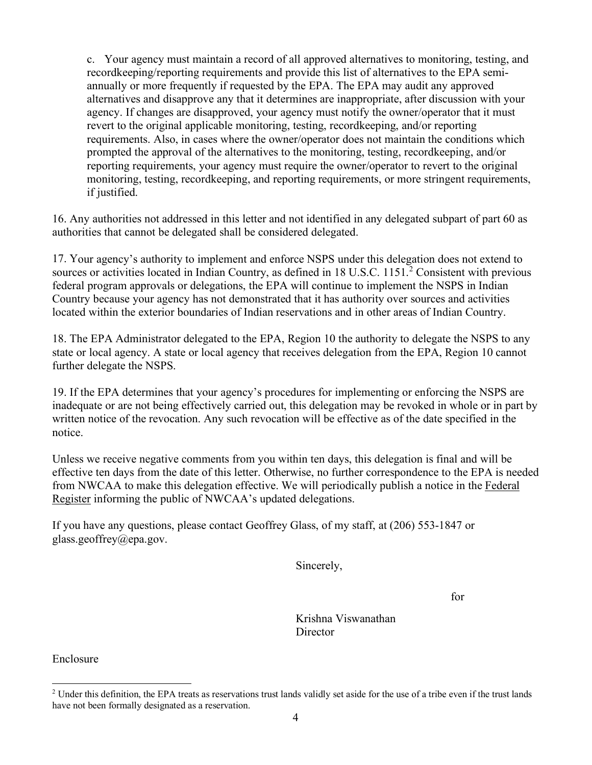c. Your agency must maintain a record of all approved alternatives to monitoring, testing, and recordkeeping/reporting requirements and provide this list of alternatives to the EPA semiannually or more frequently if requested by the EPA. The EPA may audit any approved alternatives and disapprove any that it determines are inappropriate, after discussion with your agency. If changes are disapproved, your agency must notify the owner/operator that it must revert to the original applicable monitoring, testing, recordkeeping, and/or reporting requirements. Also, in cases where the owner/operator does not maintain the conditions which prompted the approval of the alternatives to the monitoring, testing, recordkeeping, and/or reporting requirements, your agency must require the owner/operator to revert to the original monitoring, testing, recordkeeping, and reporting requirements, or more stringent requirements, if justified.

16. Any authorities not addressed in this letter and not identified in any delegated subpart of part 60 as authorities that cannot be delegated shall be considered delegated.

17. Your agency's authority to implement and enforce NSPS under this delegation does not extend to sources or activities located in Indian Country, as defined in 18 U.S.C. 1151.<sup>[2](#page-3-0)</sup> Consistent with previous federal program approvals or delegations, the EPA will continue to implement the NSPS in Indian Country because your agency has not demonstrated that it has authority over sources and activities located within the exterior boundaries of Indian reservations and in other areas of Indian Country.

18. The EPA Administrator delegated to the EPA, Region 10 the authority to delegate the NSPS to any state or local agency. A state or local agency that receives delegation from the EPA, Region 10 cannot further delegate the NSPS.

19. If the EPA determines that your agency's procedures for implementing or enforcing the NSPS are inadequate or are not being effectively carried out, this delegation may be revoked in whole or in part by written notice of the revocation. Any such revocation will be effective as of the date specified in the notice.

Unless we receive negative comments from you within ten days, this delegation is final and will be effective ten days from the date of this letter. Otherwise, no further correspondence to the EPA is needed from NWCAA to make this delegation effective. We will periodically publish a notice in the Federal Register informing the public of NWCAA's updated delegations.

If you have any questions, please contact Geoffrey Glass, of my staff, at (206) 553-1847 or glass.geoffrey@epa.gov.

Sincerely,

for

Krishna Viswanathan **Director** 

Enclosure

<span id="page-3-0"></span><sup>&</sup>lt;sup>2</sup> Under this definition, the EPA treats as reservations trust lands validly set aside for the use of a tribe even if the trust lands have not been formally designated as a reservation.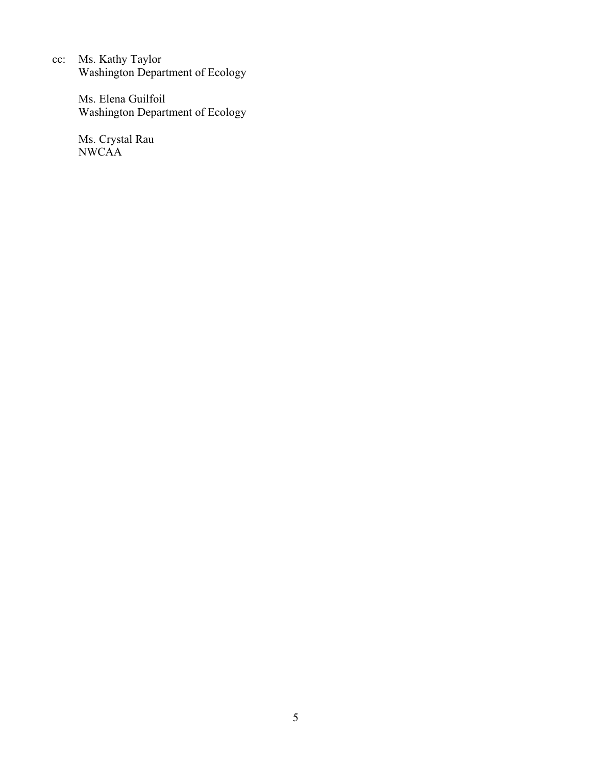cc: Ms. Kathy Taylor Washington Department of Ecology

> Ms. Elena Guilfoil Washington Department of Ecology

Ms. Crystal Rau NWCAA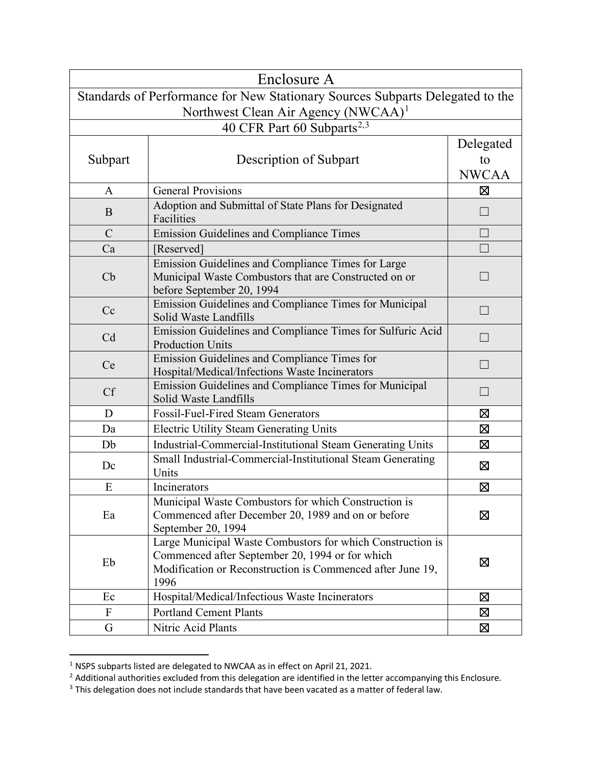| Enclosure A                                                                   |                                                                                                                                                                                     |                   |  |  |
|-------------------------------------------------------------------------------|-------------------------------------------------------------------------------------------------------------------------------------------------------------------------------------|-------------------|--|--|
| Standards of Performance for New Stationary Sources Subparts Delegated to the |                                                                                                                                                                                     |                   |  |  |
| Northwest Clean Air Agency (NWCAA) <sup>1</sup>                               |                                                                                                                                                                                     |                   |  |  |
| 40 CFR Part 60 Subparts <sup>2,3</sup>                                        |                                                                                                                                                                                     |                   |  |  |
|                                                                               |                                                                                                                                                                                     | Delegated         |  |  |
| Subpart                                                                       | Description of Subpart                                                                                                                                                              | to                |  |  |
|                                                                               |                                                                                                                                                                                     | <b>NWCAA</b>      |  |  |
| A                                                                             | <b>General Provisions</b>                                                                                                                                                           | ⊠                 |  |  |
| B                                                                             | Adoption and Submittal of State Plans for Designated<br>Facilities                                                                                                                  |                   |  |  |
| $\mathbf C$                                                                   | <b>Emission Guidelines and Compliance Times</b>                                                                                                                                     |                   |  |  |
| Ca                                                                            | [Reserved]                                                                                                                                                                          |                   |  |  |
| Cb                                                                            | Emission Guidelines and Compliance Times for Large<br>Municipal Waste Combustors that are Constructed on or                                                                         |                   |  |  |
|                                                                               | before September 20, 1994                                                                                                                                                           |                   |  |  |
| Cc                                                                            | Emission Guidelines and Compliance Times for Municipal<br>Solid Waste Landfills                                                                                                     | n a s             |  |  |
| C <sub>d</sub>                                                                | Emission Guidelines and Compliance Times for Sulfuric Acid<br><b>Production Units</b>                                                                                               |                   |  |  |
| Ce                                                                            | Emission Guidelines and Compliance Times for<br>Hospital/Medical/Infections Waste Incinerators                                                                                      |                   |  |  |
| <b>Cf</b>                                                                     | Emission Guidelines and Compliance Times for Municipal<br>Solid Waste Landfills                                                                                                     | $\vert \ \ \vert$ |  |  |
| D                                                                             | <b>Fossil-Fuel-Fired Steam Generators</b>                                                                                                                                           | ⊠                 |  |  |
| Da                                                                            | Electric Utility Steam Generating Units                                                                                                                                             | 区                 |  |  |
| Db                                                                            | Industrial-Commercial-Institutional Steam Generating Units                                                                                                                          | 区                 |  |  |
| Dc                                                                            | Small Industrial-Commercial-Institutional Steam Generating<br>Units                                                                                                                 | 区                 |  |  |
| E                                                                             | Incinerators                                                                                                                                                                        | ⊠                 |  |  |
| Ea                                                                            | Municipal Waste Combustors for which Construction is<br>Commenced after December 20, 1989 and on or before<br>September 20, 1994                                                    | ⊠                 |  |  |
| Eb                                                                            | Large Municipal Waste Combustors for which Construction is<br>Commenced after September 20, 1994 or for which<br>Modification or Reconstruction is Commenced after June 19,<br>1996 | Ø                 |  |  |
| Ec                                                                            | Hospital/Medical/Infectious Waste Incinerators                                                                                                                                      | 区                 |  |  |
| $\mathbf F$                                                                   | <b>Portland Cement Plants</b>                                                                                                                                                       | 区                 |  |  |
| G                                                                             | Nitric Acid Plants                                                                                                                                                                  | ⊠                 |  |  |

<span id="page-5-0"></span> $<sup>1</sup>$  NSPS subparts listed are delegated to NWCAA as in effect on April 21, 2021.</sup>

<span id="page-5-1"></span> $^2$  Additional authorities excluded from this delegation are identified in the letter accompanying this Enclosure.

<span id="page-5-2"></span> $3$  This delegation does not include standards that have been vacated as a matter of federal law.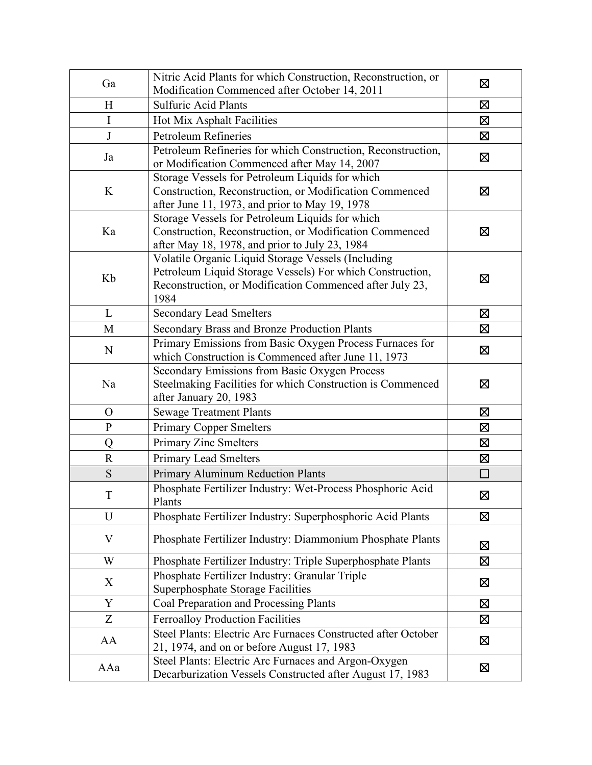| Ga          | Nitric Acid Plants for which Construction, Reconstruction, or<br>Modification Commenced after October 14, 2011                                                                      | ⊠      |
|-------------|-------------------------------------------------------------------------------------------------------------------------------------------------------------------------------------|--------|
| H           | <b>Sulfuric Acid Plants</b>                                                                                                                                                         | ⊠      |
| $\mathbf I$ | Hot Mix Asphalt Facilities                                                                                                                                                          | ⊠      |
| J           | <b>Petroleum Refineries</b>                                                                                                                                                         | ⊠      |
| Ja          | Petroleum Refineries for which Construction, Reconstruction,<br>or Modification Commenced after May 14, 2007                                                                        | 区      |
| K           | Storage Vessels for Petroleum Liquids for which<br>Construction, Reconstruction, or Modification Commenced<br>after June 11, 1973, and prior to May 19, 1978                        | ⊠      |
| Ka          | Storage Vessels for Petroleum Liquids for which<br>Construction, Reconstruction, or Modification Commenced<br>after May 18, 1978, and prior to July 23, 1984                        | 区      |
| Kb          | Volatile Organic Liquid Storage Vessels (Including<br>Petroleum Liquid Storage Vessels) For which Construction,<br>Reconstruction, or Modification Commenced after July 23,<br>1984 | ⊠      |
| L           | <b>Secondary Lead Smelters</b>                                                                                                                                                      | 囟      |
| M           | Secondary Brass and Bronze Production Plants                                                                                                                                        | ⊠      |
| N           | Primary Emissions from Basic Oxygen Process Furnaces for<br>which Construction is Commenced after June 11, 1973                                                                     | 区      |
| Na          | Secondary Emissions from Basic Oxygen Process<br>Steelmaking Facilities for which Construction is Commenced<br>after January 20, 1983                                               | 区      |
| O           | <b>Sewage Treatment Plants</b>                                                                                                                                                      | ⊠      |
| $\mathbf P$ | <b>Primary Copper Smelters</b>                                                                                                                                                      | 区      |
| Q           | <b>Primary Zinc Smelters</b>                                                                                                                                                        | 区      |
| $\mathbf R$ | <b>Primary Lead Smelters</b>                                                                                                                                                        | 区      |
| S           | Primary Aluminum Reduction Plants                                                                                                                                                   | $\Box$ |
| T           | Phosphate Fertilizer Industry: Wet-Process Phosphoric Acid<br>Plants                                                                                                                | Ø      |
| U           | Phosphate Fertilizer Industry: Superphosphoric Acid Plants                                                                                                                          | 区      |
| $\mathbf V$ | Phosphate Fertilizer Industry: Diammonium Phosphate Plants                                                                                                                          | 区      |
| W           | Phosphate Fertilizer Industry: Triple Superphosphate Plants                                                                                                                         | 区      |
| X           | Phosphate Fertilizer Industry: Granular Triple<br>Superphosphate Storage Facilities                                                                                                 | 区      |
| Y           | Coal Preparation and Processing Plants                                                                                                                                              | 区      |
| Z           | <b>Ferroalloy Production Facilities</b>                                                                                                                                             | ⊠      |
| AA          | Steel Plants: Electric Arc Furnaces Constructed after October<br>21, 1974, and on or before August 17, 1983                                                                         | ⊠      |
| AAa         | Steel Plants: Electric Arc Furnaces and Argon-Oxygen<br>Decarburization Vessels Constructed after August 17, 1983                                                                   | ⊠      |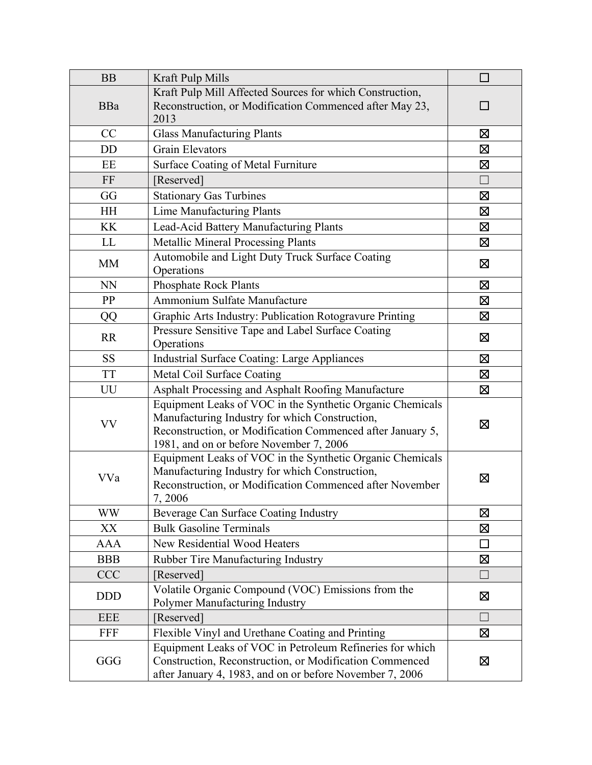| <b>BB</b>  | Kraft Pulp Mills                                                                                                                                                                                                     | $\Box$ |
|------------|----------------------------------------------------------------------------------------------------------------------------------------------------------------------------------------------------------------------|--------|
| BBa        | Kraft Pulp Mill Affected Sources for which Construction,<br>Reconstruction, or Modification Commenced after May 23,                                                                                                  | a s    |
|            | 2013                                                                                                                                                                                                                 |        |
| CC         | <b>Glass Manufacturing Plants</b>                                                                                                                                                                                    | 区      |
| <b>DD</b>  | <b>Grain Elevators</b>                                                                                                                                                                                               | 図      |
| EE         | Surface Coating of Metal Furniture                                                                                                                                                                                   | 区      |
| FF         | [Reserved]                                                                                                                                                                                                           | П      |
| GG         | <b>Stationary Gas Turbines</b>                                                                                                                                                                                       | Ø      |
| HH         | <b>Lime Manufacturing Plants</b>                                                                                                                                                                                     | Σ      |
| KK         | Lead-Acid Battery Manufacturing Plants                                                                                                                                                                               | 区      |
| LL         | <b>Metallic Mineral Processing Plants</b>                                                                                                                                                                            | 区      |
| <b>MM</b>  | Automobile and Light Duty Truck Surface Coating<br>Operations                                                                                                                                                        | 区      |
| <b>NN</b>  | Phosphate Rock Plants                                                                                                                                                                                                | 囟      |
| PP         | Ammonium Sulfate Manufacture                                                                                                                                                                                         | 図      |
| QQ         | Graphic Arts Industry: Publication Rotogravure Printing                                                                                                                                                              | 区      |
| <b>RR</b>  | Pressure Sensitive Tape and Label Surface Coating<br>Operations                                                                                                                                                      | Ø      |
| <b>SS</b>  | Industrial Surface Coating: Large Appliances                                                                                                                                                                         | Σ      |
| <b>TT</b>  | Metal Coil Surface Coating                                                                                                                                                                                           | 区      |
| UU         | Asphalt Processing and Asphalt Roofing Manufacture                                                                                                                                                                   | 区      |
| VV         | Equipment Leaks of VOC in the Synthetic Organic Chemicals<br>Manufacturing Industry for which Construction,<br>Reconstruction, or Modification Commenced after January 5,<br>1981, and on or before November 7, 2006 | ⊠      |
| VVa        | Equipment Leaks of VOC in the Synthetic Organic Chemicals<br>Manufacturing Industry for which Construction,<br>Reconstruction, or Modification Commenced after November<br>7,2006                                    | ⊠      |
| <b>WW</b>  | Beverage Can Surface Coating Industry                                                                                                                                                                                | 区      |
| XX         | <b>Bulk Gasoline Terminals</b>                                                                                                                                                                                       | 区      |
| AAA        | New Residential Wood Heaters                                                                                                                                                                                         | $\Box$ |
| <b>BBB</b> | Rubber Tire Manufacturing Industry                                                                                                                                                                                   | 区      |
| <b>CCC</b> | [Reserved]                                                                                                                                                                                                           | П      |
| <b>DDD</b> | Volatile Organic Compound (VOC) Emissions from the<br>Polymer Manufacturing Industry                                                                                                                                 | 区      |
| <b>EEE</b> | [Reserved]                                                                                                                                                                                                           | П      |
| FFF        | Flexible Vinyl and Urethane Coating and Printing                                                                                                                                                                     | Σ      |
| GGG        | Equipment Leaks of VOC in Petroleum Refineries for which<br>Construction, Reconstruction, or Modification Commenced<br>after January 4, 1983, and on or before November 7, 2006                                      | Ø      |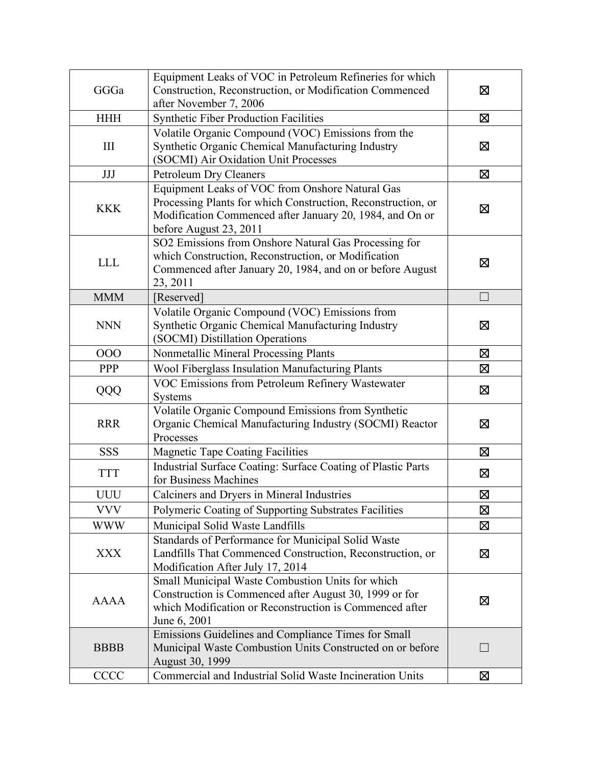| GGGa        | Equipment Leaks of VOC in Petroleum Refineries for which<br>Construction, Reconstruction, or Modification Commenced<br>after November 7, 2006                                                         | 区            |
|-------------|-------------------------------------------------------------------------------------------------------------------------------------------------------------------------------------------------------|--------------|
| <b>HHH</b>  | <b>Synthetic Fiber Production Facilities</b>                                                                                                                                                          | ⊠            |
| III         | Volatile Organic Compound (VOC) Emissions from the<br>Synthetic Organic Chemical Manufacturing Industry<br>(SOCMI) Air Oxidation Unit Processes                                                       | ⊠            |
| JJJ         | <b>Petroleum Dry Cleaners</b>                                                                                                                                                                         | ⊠            |
| <b>KKK</b>  | Equipment Leaks of VOC from Onshore Natural Gas<br>Processing Plants for which Construction, Reconstruction, or<br>Modification Commenced after January 20, 1984, and On or<br>before August 23, 2011 | 区            |
| <b>LLL</b>  | SO2 Emissions from Onshore Natural Gas Processing for<br>which Construction, Reconstruction, or Modification<br>Commenced after January 20, 1984, and on or before August<br>23, 2011                 | ⊠            |
| <b>MMM</b>  | [Reserved]                                                                                                                                                                                            | $\mathbf{L}$ |
| <b>NNN</b>  | Volatile Organic Compound (VOC) Emissions from<br>Synthetic Organic Chemical Manufacturing Industry<br>(SOCMI) Distillation Operations                                                                | 区            |
| 000         | Nonmetallic Mineral Processing Plants                                                                                                                                                                 | 区            |
| <b>PPP</b>  | Wool Fiberglass Insulation Manufacturing Plants                                                                                                                                                       | ⊠            |
| QQQ         | VOC Emissions from Petroleum Refinery Wastewater<br><b>Systems</b>                                                                                                                                    | 区            |
| <b>RRR</b>  | Volatile Organic Compound Emissions from Synthetic<br>Organic Chemical Manufacturing Industry (SOCMI) Reactor<br>Processes                                                                            | 区            |
| SSS         | <b>Magnetic Tape Coating Facilities</b>                                                                                                                                                               | 区            |
| <b>TTT</b>  | Industrial Surface Coating: Surface Coating of Plastic Parts<br>for Business Machines                                                                                                                 | ⊠            |
| <b>UUU</b>  | Calciners and Dryers in Mineral Industries                                                                                                                                                            | Ø            |
| VVV         | Polymeric Coating of Supporting Substrates Facilities                                                                                                                                                 | 区            |
| <b>WWW</b>  | Municipal Solid Waste Landfills                                                                                                                                                                       | 区            |
| <b>XXX</b>  | Standards of Performance for Municipal Solid Waste<br>Landfills That Commenced Construction, Reconstruction, or<br>Modification After July 17, 2014                                                   | 区            |
| <b>AAAA</b> | Small Municipal Waste Combustion Units for which<br>Construction is Commenced after August 30, 1999 or for<br>which Modification or Reconstruction is Commenced after<br>June 6, 2001                 | 区            |
| <b>BBBB</b> | Emissions Guidelines and Compliance Times for Small<br>Municipal Waste Combustion Units Constructed on or before<br><b>August 30, 1999</b>                                                            |              |
| <b>CCCC</b> | Commercial and Industrial Solid Waste Incineration Units                                                                                                                                              | Ø            |